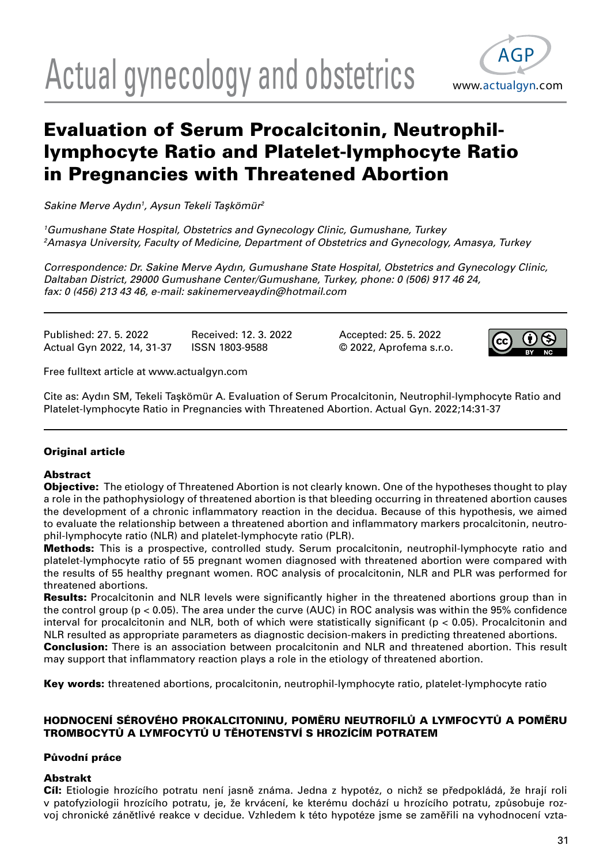# Actual gynecology and obstetrics www.actualgyn.com



# Evaluation of Serum Procalcitonin, Neutrophillymphocyte Ratio and Platelet-lymphocyte Ratio in Pregnancies with Threatened Abortion

Sakine Merve Aydın<sup>1</sup>, Aysun Tekeli Taşkömür<sup>2</sup>

1 Gumushane State Hospital, Obstetrics and Gynecology Clinic, Gumushane, Turkey 2 Amasya University, Faculty of Medicine, Department of Obstetrics and Gynecology, Amasya, Turkey

Correspondence: Dr. Sakine Merve Aydın, Gumushane State Hospital, Obstetrics and Gynecology Clinic, Daltaban District, 29000 Gumushane Center/Gumushane, Turkey, phone: 0 (506) 917 46 24, fax: 0 (456) 213 43 46, e-mail: sakinemerveaydin@hotmail.com

Published: 27. 5. 2022 Received: 12. 3. 2022 Accepted: 25. 5. 2022

Actual Gyn 2022, 14, 31-37 ISSN 1803-9588 © 2022, Aprofema s.r.o.



Free fulltext article at www.actualgyn.com

Cite as: Aydın SM, Tekeli Taşkömür A. Evaluation of Serum Procalcitonin, Neutrophil-lymphocyte Ratio and Platelet-lymphocyte Ratio in Pregnancies with Threatened Abortion. Actual Gyn. 2022;14:31-37

# Original article

# Abstract

**Objective:** The etiology of Threatened Abortion is not clearly known. One of the hypotheses thought to play a role in the pathophysiology of threatened abortion is that bleeding occurring in threatened abortion causes the development of a chronic inflammatory reaction in the decidua. Because of this hypothesis, we aimed to evaluate the relationship between a threatened abortion and inflammatory markers procalcitonin, neutrophil-lymphocyte ratio (NLR) and platelet-lymphocyte ratio (PLR).

Methods: This is a prospective, controlled study. Serum procalcitonin, neutrophil-lymphocyte ratio and platelet-lymphocyte ratio of 55 pregnant women diagnosed with threatened abortion were compared with the results of 55 healthy pregnant women. ROC analysis of procalcitonin, NLR and PLR was performed for threatened abortions.

**Results:** Procalcitonin and NLR levels were significantly higher in the threatened abortions group than in the control group ( $p < 0.05$ ). The area under the curve (AUC) in ROC analysis was within the 95% confidence interval for procalcitonin and NLR, both of which were statistically significant (p < 0.05). Procalcitonin and NLR resulted as appropriate parameters as diagnostic decision-makers in predicting threatened abortions. **Conclusion:** There is an association between procalcitonin and NLR and threatened abortion. This result may support that inflammatory reaction plays a role in the etiology of threatened abortion.

Key words: threatened abortions, procalcitonin, neutrophil-lymphocyte ratio, platelet-lymphocyte ratio

### HODNOCENÍ SÉROVÉHO PROKALCITONINU, POMĚRU NEUTROFILŮ A LYMFOCYTŮ A POMĚRU TROMBOCYTŮ A LYMFOCYTŮ U TĚHOTENSTVÍ S HROZÍCÍM POTRATEM

# Původní práce

# Abstrakt

Cíl: Etiologie hrozícího potratu není jasně známa. Jedna z hypotéz, o nichž se předpokládá, že hrají roli v patofyziologii hrozícího potratu, je, že krvácení, ke kterému dochází u hrozícího potratu, způsobuje rozvoj chronické zánětlivé reakce v decidue. Vzhledem k této hypotéze jsme se zaměřili na vyhodnocení vzta-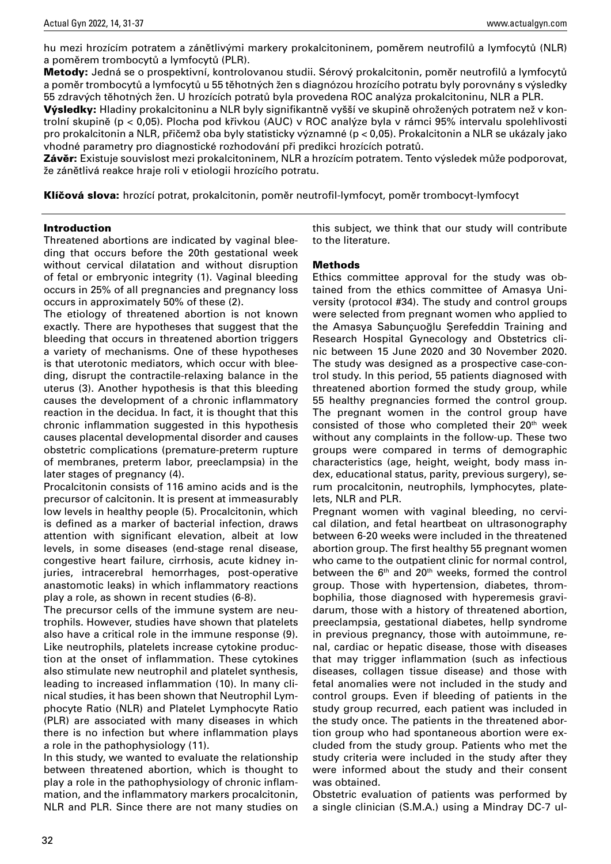hu mezi hrozícím potratem a zánětlivými markery prokalcitoninem, poměrem neutrofilů a lymfocytů (NLR) a poměrem trombocytů a lymfocytů (PLR).

Metody: Jedná se o prospektivní, kontrolovanou studii. Sérový prokalcitonin, poměr neutrofilů a lymfocytů a poměr trombocytů a lymfocytů u 55 těhotných žen s diagnózou hrozícího potratu byly porovnány s výsledky 55 zdravých těhotných žen. U hrozících potratů byla provedena ROC analýza prokalcitoninu, NLR a PLR.

Výsledky: Hladiny prokalcitoninu a NLR byly signifikantně vyšší ve skupině ohrožených potratem než v kontrolní skupině (p < 0,05). Plocha pod křivkou (AUC) v ROC analýze byla v rámci 95% intervalu spolehlivosti pro prokalcitonin a NLR, přičemž oba byly statisticky významné (p < 0,05). Prokalcitonin a NLR se ukázaly jako vhodné parametry pro diagnostické rozhodování při predikci hrozících potratů.

Závěr: Existuje souvislost mezi prokalcitoninem, NLR a hrozícím potratem. Tento výsledek může podporovat, že zánětlivá reakce hraje roli v etiologii hrozícího potratu.

Klíčová slova: hrozící potrat, prokalcitonin, poměr neutrofil-lymfocyt, poměr trombocyt-lymfocyt

#### Introduction

Threatened abortions are indicated by vaginal bleeding that occurs before the 20th gestational week without cervical dilatation and without disruption of fetal or embryonic integrity (1). Vaginal bleeding occurs in 25% of all pregnancies and pregnancy loss occurs in approximately 50% of these (2).

The etiology of threatened abortion is not known exactly. There are hypotheses that suggest that the bleeding that occurs in threatened abortion triggers a variety of mechanisms. One of these hypotheses is that uterotonic mediators, which occur with bleeding, disrupt the contractile-relaxing balance in the uterus (3). Another hypothesis is that this bleeding causes the development of a chronic inflammatory reaction in the decidua. In fact, it is thought that this chronic inflammation suggested in this hypothesis causes placental developmental disorder and causes obstetric complications (premature-preterm rupture of membranes, preterm labor, preeclampsia) in the later stages of pregnancy (4).

Procalcitonin consists of 116 amino acids and is the precursor of calcitonin. It is present at immeasurably low levels in healthy people (5). Procalcitonin, which is defined as a marker of bacterial infection, draws attention with significant elevation, albeit at low levels, in some diseases (end-stage renal disease, congestive heart failure, cirrhosis, acute kidney injuries, intracerebral hemorrhages, post-operative anastomotic leaks) in which inflammatory reactions play a role, as shown in recent studies (6-8).

The precursor cells of the immune system are neutrophils. However, studies have shown that platelets also have a critical role in the immune response (9). Like neutrophils, platelets increase cytokine production at the onset of inflammation. These cytokines also stimulate new neutrophil and platelet synthesis, leading to increased inflammation (10). In many clinical studies, it has been shown that Neutrophil Lymphocyte Ratio (NLR) and Platelet Lymphocyte Ratio (PLR) are associated with many diseases in which there is no infection but where inflammation plays a role in the pathophysiology (11).

In this study, we wanted to evaluate the relationship between threatened abortion, which is thought to play a role in the pathophysiology of chronic inflammation, and the inflammatory markers procalcitonin, NLR and PLR. Since there are not many studies on this subject, we think that our study will contribute to the literature.

#### Methods

Ethics committee approval for the study was obtained from the ethics committee of Amasya University (protocol #34). The study and control groups were selected from pregnant women who applied to the Amasya Sabunçuoğlu Şerefeddin Training and Research Hospital Gynecology and Obstetrics clinic between 15 June 2020 and 30 November 2020. The study was designed as a prospective case-control study. In this period, 55 patients diagnosed with threatened abortion formed the study group, while 55 healthy pregnancies formed the control group. The pregnant women in the control group have consisted of those who completed their  $20<sup>th</sup>$  week without any complaints in the follow-up. These two groups were compared in terms of demographic characteristics (age, height, weight, body mass index, educational status, parity, previous surgery), serum procalcitonin, neutrophils, lymphocytes, platelets, NLR and PLR.

Pregnant women with vaginal bleeding, no cervical dilation, and fetal heartbeat on ultrasonography between 6-20 weeks were included in the threatened abortion group. The first healthy 55 pregnant women who came to the outpatient clinic for normal control, between the  $6<sup>th</sup>$  and  $20<sup>th</sup>$  weeks, formed the control group. Those with hypertension, diabetes, thrombophilia, those diagnosed with hyperemesis gravidarum, those with a history of threatened abortion, preeclampsia, gestational diabetes, hellp syndrome in previous pregnancy, those with autoimmune, renal, cardiac or hepatic disease, those with diseases that may trigger inflammation (such as infectious diseases, collagen tissue disease) and those with fetal anomalies were not included in the study and control groups. Even if bleeding of patients in the study group recurred, each patient was included in the study once. The patients in the threatened abortion group who had spontaneous abortion were excluded from the study group. Patients who met the study criteria were included in the study after they were informed about the study and their consent was obtained.

Obstetric evaluation of patients was performed by a single clinician (S.M.A.) using a Mindray DC-7 ul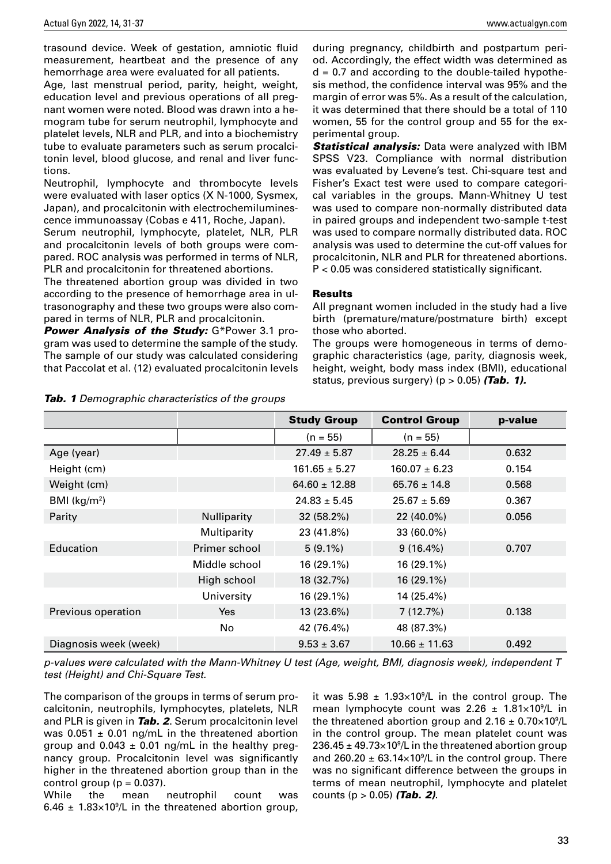trasound device. Week of gestation, amniotic fluid measurement, heartbeat and the presence of any hemorrhage area were evaluated for all patients.

Age, last menstrual period, parity, height, weight, education level and previous operations of all pregnant women were noted. Blood was drawn into a hemogram tube for serum neutrophil, lymphocyte and platelet levels, NLR and PLR, and into a biochemistry tube to evaluate parameters such as serum procalcitonin level, blood glucose, and renal and liver functions.

Neutrophil, lymphocyte and thrombocyte levels were evaluated with laser optics (X N-1000, Sysmex, Japan), and procalcitonin with electrochemiluminescence immunoassay (Cobas e 411, Roche, Japan).

Serum neutrophil, lymphocyte, platelet, NLR, PLR and procalcitonin levels of both groups were compared. ROC analysis was performed in terms of NLR, PLR and procalcitonin for threatened abortions.

The threatened abortion group was divided in two according to the presence of hemorrhage area in ultrasonography and these two groups were also compared in terms of NLR, PLR and procalcitonin.

Power Analysis of the Study: G\*Power 3.1 program was used to determine the sample of the study. The sample of our study was calculated considering that Paccolat et al. (12) evaluated procalcitonin levels

during pregnancy, childbirth and postpartum period. Accordingly, the effect width was determined as  $d = 0.7$  and according to the double-tailed hypothesis method, the confidence interval was 95% and the margin of error was 5%. As a result of the calculation, it was determined that there should be a total of 110 women, 55 for the control group and 55 for the experimental group.

**Statistical analysis:** Data were analyzed with IBM SPSS V23. Compliance with normal distribution was evaluated by Levene's test. Chi-square test and Fisher's Exact test were used to compare categorical variables in the groups. Mann-Whitney U test was used to compare non-normally distributed data in paired groups and independent two-sample t-test was used to compare normally distributed data. ROC analysis was used to determine the cut-off values for procalcitonin, NLR and PLR for threatened abortions. P < 0.05 was considered statistically significant.

#### Results

All pregnant women included in the study had a live birth (premature/mature/postmature birth) except those who aborted.

The groups were homogeneous in terms of demographic characteristics (age, parity, diagnosis week, height, weight, body mass index (BMI), educational status, previous surgery) ( $p > 0.05$ ) (Tab. 1).

|                       |               | <b>Study Group</b> | <b>Control Group</b> | p-value |
|-----------------------|---------------|--------------------|----------------------|---------|
|                       |               | $(n = 55)$         | $(n = 55)$           |         |
| Age (year)            |               | $27.49 \pm 5.87$   | $28.25 \pm 6.44$     | 0.632   |
| Height (cm)           |               | $161.65 \pm 5.27$  | $160.07 \pm 6.23$    | 0.154   |
| Weight (cm)           |               | $64.60 \pm 12.88$  | $65.76 \pm 14.8$     | 0.568   |
| BMI $(kg/m2)$         |               | $24.83 \pm 5.45$   | $25.67 \pm 5.69$     | 0.367   |
| Parity                | Nulliparity   | 32(58.2%)          | 22 (40.0%)           | 0.056   |
|                       | Multiparity   | 23 (41.8%)         | 33 (60.0%)           |         |
| Education             | Primer school | $5(9.1\%)$         | $9(16.4\%)$          | 0.707   |
|                       | Middle school | 16 (29.1%)         | 16 (29.1%)           |         |
|                       | High school   | 18 (32.7%)         | 16 (29.1%)           |         |
|                       | University    | 16 (29.1%)         | 14 (25.4%)           |         |
| Previous operation    | Yes           | 13 (23.6%)         | 7(12.7%)             | 0.138   |
|                       | No            | 42 (76.4%)         | 48 (87.3%)           |         |
| Diagnosis week (week) |               | $9.53 \pm 3.67$    | $10.66 \pm 11.63$    | 0.492   |

**Tab. 1** Demographic characteristics of the groups

p-values were calculated with the Mann-Whitney U test (Age, weight, BMI, diagnosis week), independent T test (Height) and Chi-Square Test.

The comparison of the groups in terms of serum procalcitonin, neutrophils, lymphocytes, platelets, NLR and PLR is given in **Tab. 2.** Serum procalcitonin level was  $0.051 \pm 0.01$  ng/mL in the threatened abortion group and  $0.043 \pm 0.01$  ng/mL in the healthy pregnancy group. Procalcitonin level was significantly higher in the threatened abortion group than in the control group ( $p = 0.037$ ).

While the mean neutrophil count was 6.46  $\pm$  1.83×10<sup>9</sup>/L in the threatened abortion group,

it was  $5.98 \pm 1.93 \times 10^9$ /L in the control group. The mean lymphocyte count was  $2.26 \pm 1.81 \times 10^9$ /L in the threatened abortion group and  $2.16 \pm 0.70 \times 10^9$ /L in the control group. The mean platelet count was 236.45  $\pm$  49.73×10<sup>9</sup>/L in the threatened abortion group and 260.20  $\pm$  63.14 $\times$ 10<sup>9</sup>/L in the control group. There was no significant difference between the groups in terms of mean neutrophil, lymphocyte and platelet counts ( $p > 0.05$ ) (Tab. 2).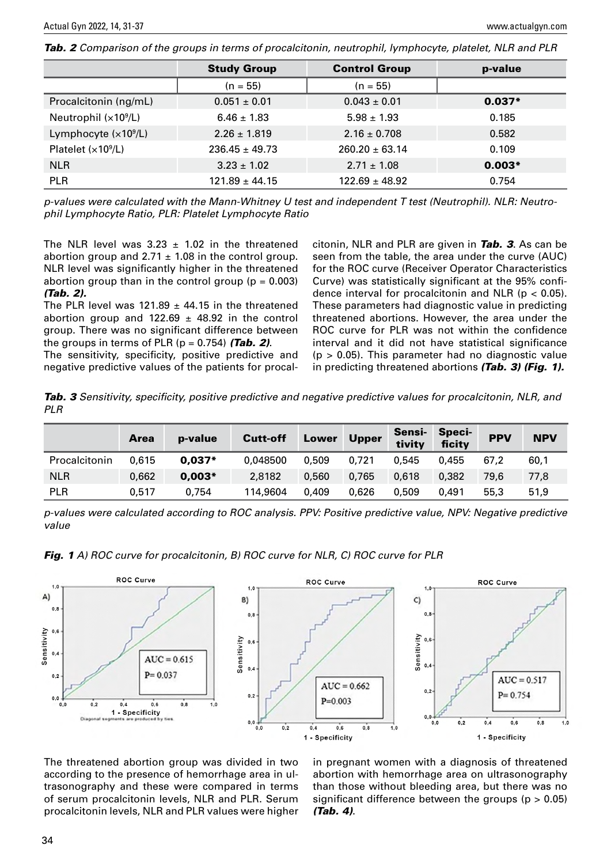Tab. 2 Comparison of the groups in terms of procalcitonin, neutrophil, lymphocyte, platelet, NLR and PLR

|                       | <b>Study Group</b> | <b>Control Group</b> | p-value  |
|-----------------------|--------------------|----------------------|----------|
|                       | $(n = 55)$         | $(n = 55)$           |          |
| Procalcitonin (ng/mL) | $0.051 \pm 0.01$   | $0.043 \pm 0.01$     | $0.037*$ |
| Neutrophil $(x109/L)$ | $6.46 \pm 1.83$    | $5.98 \pm 1.93$      | 0.185    |
| Lymphocyte $(x109/L)$ | $2.26 \pm 1.819$   | $2.16 \pm 0.708$     | 0.582    |
| Platelet $(x109/L)$   | $236.45 \pm 49.73$ | $260.20 \pm 63.14$   | 0.109    |
| <b>NLR</b>            | $3.23 \pm 1.02$    | $2.71 \pm 1.08$      | $0.003*$ |
| <b>PLR</b>            | $121.89 \pm 44.15$ | $122.69 \pm 48.92$   | 0.754    |

p-values were calculated with the Mann-Whitney U test and independent T test (Neutrophil). NLR: Neutrophil Lymphocyte Ratio, PLR: Platelet Lymphocyte Ratio

The NLR level was  $3.23 \pm 1.02$  in the threatened abortion group and  $2.71 \pm 1.08$  in the control group. NLR level was significantly higher in the threatened abortion group than in the control group ( $p = 0.003$ ) (Tab. 2).

The PLR level was 121.89  $\pm$  44.15 in the threatened abortion group and 122.69  $\pm$  48.92 in the control group. There was no significant difference between the groups in terms of PLR ( $p = 0.754$ ) (Tab. 2).

The sensitivity, specificity, positive predictive and negative predictive values of the patients for procal-

citonin, NLR and PLR are given in **Tab. 3**. As can be seen from the table, the area under the curve (AUC) for the ROC curve (Receiver Operator Characteristics Curve) was statistically significant at the 95% confidence interval for procalcitonin and NLR ( $p < 0.05$ ). These parameters had diagnostic value in predicting threatened abortions. However, the area under the ROC curve for PLR was not within the confidence interval and it did not have statistical significance  $(p > 0.05)$ . This parameter had no diagnostic value in predicting threatened abortions (Tab. 3) (Fig. 1).

Tab. 3 Sensitivity, specificity, positive predictive and negative predictive values for procalcitonin, NLR, and PLR

|               | <b>Area</b> | p-value  | Cutt-off | Lower | <b>Upper</b> | Sensi-<br>tivity | <b>Speci-</b><br>ficity | <b>PPV</b> | <b>NPV</b> |
|---------------|-------------|----------|----------|-------|--------------|------------------|-------------------------|------------|------------|
| Procalcitonin | 0.615       | $0.037*$ | 0.048500 | 0.509 | 0.721        | 0,545            | 0.455                   | 67.2       | 60,1       |
| <b>NLR</b>    | 0,662       | $0.003*$ | 2,8182   | 0.560 | 0,765        | 0.618            | 0.382                   | 79.6       | 77,8       |
| <b>PLR</b>    | 0.517       | 0.754    | 114,9604 | 0.409 | 0.626        | 0,509            | 0.491                   | 55.3       | 51,9       |

p-values were calculated according to ROC analysis. PPV: Positive predictive value, NPV: Negative predictive value





The threatened abortion group was divided in two according to the presence of hemorrhage area in ultrasonography and these were compared in terms of serum procalcitonin levels, NLR and PLR. Serum procalcitonin levels, NLR and PLR values were higher in pregnant women with a diagnosis of threatened abortion with hemorrhage area on ultrasonography than those without bleeding area, but there was no significant difference between the groups ( $p > 0.05$ ) (Tab. 4).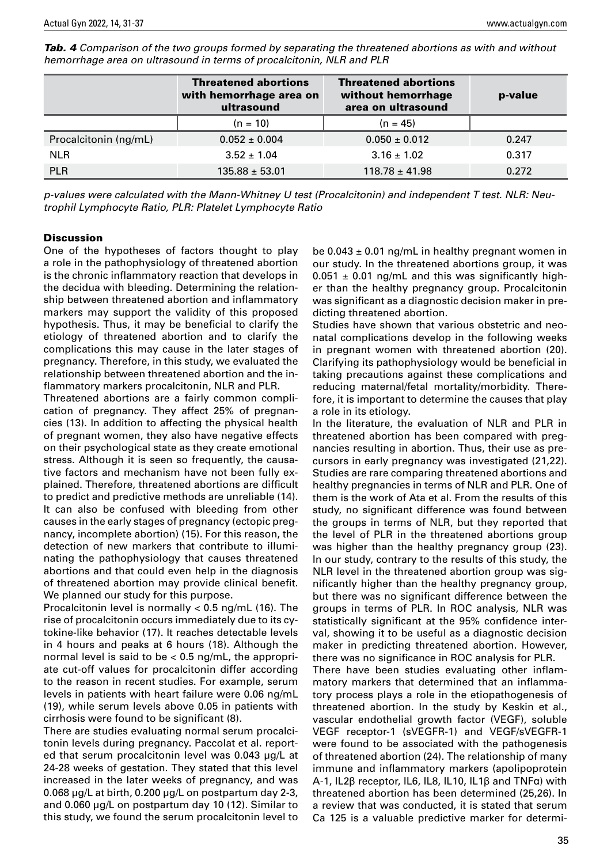|                       | <b>Threatened abortions</b><br>with hemorrhage area on<br>ultrasound | <b>Threatened abortions</b><br>without hemorrhage<br>area on ultrasound | p-value |
|-----------------------|----------------------------------------------------------------------|-------------------------------------------------------------------------|---------|
|                       | $(n = 10)$                                                           | $(n = 45)$                                                              |         |
| Procalcitonin (ng/mL) | $0.052 \pm 0.004$                                                    | $0.050 \pm 0.012$                                                       | 0.247   |

**Tab. 4** Comparison of the two groups formed by separating the threatened abortions as with and without hemorrhage area on ultrasound in terms of procalcitonin, NLR and PLR

p-values were calculated with the Mann-Whitney U test (Procalcitonin) and independent T test. NLR: Neutrophil Lymphocyte Ratio, PLR: Platelet Lymphocyte Ratio

NLR  $3.52 \pm 1.04$   $3.16 \pm 1.02$  0.317 PLR 135.88  $\pm$  53.01 118.78  $\pm$  41.98 0.272

#### **Discussion**

One of the hypotheses of factors thought to play a role in the pathophysiology of threatened abortion is the chronic inflammatory reaction that develops in the decidua with bleeding. Determining the relationship between threatened abortion and inflammatory markers may support the validity of this proposed hypothesis. Thus, it may be beneficial to clarify the etiology of threatened abortion and to clarify the complications this may cause in the later stages of pregnancy. Therefore, in this study, we evaluated the relationship between threatened abortion and the inflammatory markers procalcitonin, NLR and PLR.

Threatened abortions are a fairly common complication of pregnancy. They affect 25% of pregnancies (13). In addition to affecting the physical health of pregnant women, they also have negative effects on their psychological state as they create emotional stress. Although it is seen so frequently, the causative factors and mechanism have not been fully explained. Therefore, threatened abortions are difficult to predict and predictive methods are unreliable (14). It can also be confused with bleeding from other causes in the early stages of pregnancy (ectopic pregnancy, incomplete abortion) (15). For this reason, the detection of new markers that contribute to illuminating the pathophysiology that causes threatened abortions and that could even help in the diagnosis of threatened abortion may provide clinical benefit. We planned our study for this purpose.

Procalcitonin level is normally < 0.5 ng/mL (16). The rise of procalcitonin occurs immediately due to its cytokine-like behavior (17). It reaches detectable levels in 4 hours and peaks at 6 hours (18). Although the normal level is said to be < 0.5 ng/mL, the appropriate cut-off values for procalcitonin differ according to the reason in recent studies. For example, serum levels in patients with heart failure were 0.06 ng/mL (19), while serum levels above 0.05 in patients with cirrhosis were found to be significant (8).

There are studies evaluating normal serum procalcitonin levels during pregnancy. Paccolat et al. reported that serum procalcitonin level was 0.043 μg/L at 24-28 weeks of gestation. They stated that this level increased in the later weeks of pregnancy, and was 0.068 μg/L at birth, 0.200 μg/L on postpartum day 2-3, and 0.060 μg/L on postpartum day 10 (12). Similar to this study, we found the serum procalcitonin level to be  $0.043 \pm 0.01$  ng/mL in healthy pregnant women in our study. In the threatened abortions group, it was  $0.051 \pm 0.01$  ng/mL and this was significantly higher than the healthy pregnancy group. Procalcitonin was significant as a diagnostic decision maker in predicting threatened abortion.

Studies have shown that various obstetric and neonatal complications develop in the following weeks in pregnant women with threatened abortion (20). Clarifying its pathophysiology would be beneficial in taking precautions against these complications and reducing maternal/fetal mortality/morbidity. Therefore, it is important to determine the causes that play a role in its etiology.

In the literature, the evaluation of NLR and PLR in threatened abortion has been compared with pregnancies resulting in abortion. Thus, their use as precursors in early pregnancy was investigated (21,22). Studies are rare comparing threatened abortions and healthy pregnancies in terms of NLR and PLR. One of them is the work of Ata et al. From the results of this study, no significant difference was found between the groups in terms of NLR, but they reported that the level of PLR in the threatened abortions group was higher than the healthy pregnancy group (23). In our study, contrary to the results of this study, the NLR level in the threatened abortion group was significantly higher than the healthy pregnancy group, but there was no significant difference between the groups in terms of PLR. In ROC analysis, NLR was statistically significant at the 95% confidence interval, showing it to be useful as a diagnostic decision maker in predicting threatened abortion. However, there was no significance in ROC analysis for PLR.

There have been studies evaluating other inflammatory markers that determined that an inflammatory process plays a role in the etiopathogenesis of threatened abortion. In the study by Keskin et al., vascular endothelial growth factor (VEGF), soluble VEGF receptor-1 (sVEGFR-1) and VEGF/sVEGFR-1 were found to be associated with the pathogenesis of threatened abortion (24). The relationship of many immune and inflammatory markers (apolipoprotein A-1, IL2β receptor, IL6, IL8, IL10, IL1β and TNFα) with threatened abortion has been determined (25,26). In a review that was conducted, it is stated that serum Ca 125 is a valuable predictive marker for determi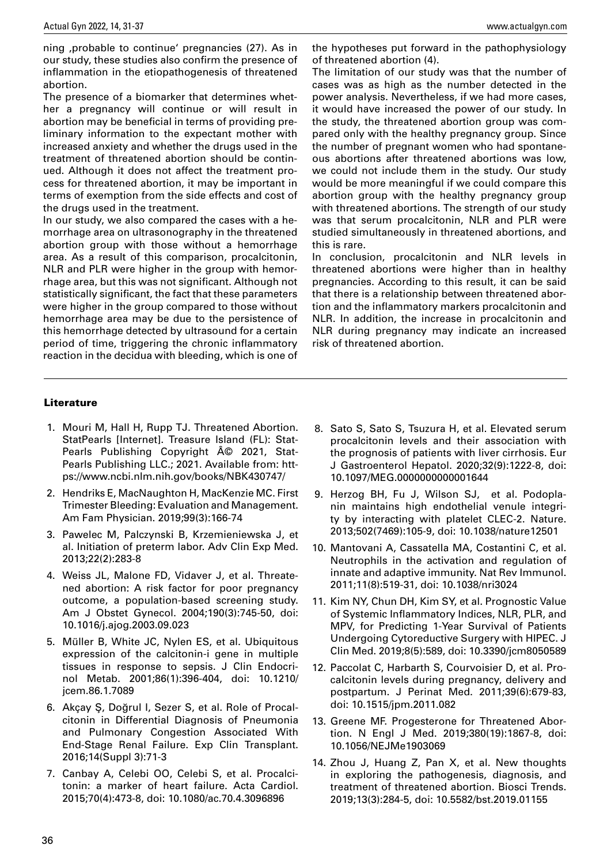ning , probable to continue' pregnancies (27). As in our study, these studies also confirm the presence of inflammation in the etiopathogenesis of threatened abortion.

The presence of a biomarker that determines whether a pregnancy will continue or will result in abortion may be beneficial in terms of providing preliminary information to the expectant mother with increased anxiety and whether the drugs used in the treatment of threatened abortion should be continued. Although it does not affect the treatment process for threatened abortion, it may be important in terms of exemption from the side effects and cost of the drugs used in the treatment.

In our study, we also compared the cases with a hemorrhage area on ultrasonography in the threatened abortion group with those without a hemorrhage area. As a result of this comparison, procalcitonin, NLR and PLR were higher in the group with hemorrhage area, but this was not significant. Although not statistically significant, the fact that these parameters were higher in the group compared to those without hemorrhage area may be due to the persistence of this hemorrhage detected by ultrasound for a certain period of time, triggering the chronic inflammatory reaction in the decidua with bleeding, which is one of the hypotheses put forward in the pathophysiology of threatened abortion (4).

The limitation of our study was that the number of cases was as high as the number detected in the power analysis. Nevertheless, if we had more cases, it would have increased the power of our study. In the study, the threatened abortion group was compared only with the healthy pregnancy group. Since the number of pregnant women who had spontaneous abortions after threatened abortions was low, we could not include them in the study. Our study would be more meaningful if we could compare this abortion group with the healthy pregnancy group with threatened abortions. The strength of our study was that serum procalcitonin, NLR and PLR were studied simultaneously in threatened abortions, and this is rare.

In conclusion, procalcitonin and NLR levels in threatened abortions were higher than in healthy pregnancies. According to this result, it can be said that there is a relationship between threatened abortion and the inflammatory markers procalcitonin and NLR. In addition, the increase in procalcitonin and NLR during pregnancy may indicate an increased risk of threatened abortion.

#### **Literature**

- 1. Mouri M, Hall H, Rupp TJ. Threatened Abortion. StatPearls [Internet]. Treasure Island (FL): Stat-Pearls Publishing Copyright  $\widehat{A}$  2021, Stat-Pearls Publishing LLC.; 2021. Available from: https://www.ncbi.nlm.nih.gov/books/NBK430747/
- 2. Hendriks E, MacNaughton H, MacKenzie MC. First Trimester Bleeding: Evaluation and Management. Am Fam Physician. 2019;99(3):166-74
- 3. Pawelec M, Palczynski B, Krzemieniewska J, et al. Initiation of preterm labor. Adv Clin Exp Med. 2013;22(2):283-8
- 4. Weiss JL, Malone FD, Vidaver J, et al. Threatened abortion: A risk factor for poor pregnancy outcome, a population-based screening study. Am J Obstet Gynecol. 2004;190(3):745-50, doi: 10.1016/j.ajog.2003.09.023
- 5. Müller B, White JC, Nylen ES, et al. Ubiquitous expression of the calcitonin-i gene in multiple tissues in response to sepsis. J Clin Endocrinol Metab. 2001;86(1):396-404, doi: 10.1210/ jcem.86.1.7089
- 6. Akçay Ş, Doğrul I, Sezer S, et al. Role of Procalcitonin in Differential Diagnosis of Pneumonia and Pulmonary Congestion Associated With End-Stage Renal Failure. Exp Clin Transplant. 2016;14(Suppl 3):71-3
- 7. Canbay A, Celebi OO, Celebi S, et al. Procalcitonin: a marker of heart failure. Acta Cardiol. 2015;70(4):473-8, doi: 10.1080/ac.70.4.3096896
- 8. Sato S, Sato S, Tsuzura H, et al. Elevated serum procalcitonin levels and their association with the prognosis of patients with liver cirrhosis. Eur J Gastroenterol Hepatol. 2020;32(9):1222-8, doi: 10.1097/MEG.0000000000001644
- 9. Herzog BH, Fu J, Wilson SJ, et al. Podoplanin maintains high endothelial venule integrity by interacting with platelet CLEC-2. Nature. 2013;502(7469):105-9, doi: 10.1038/nature12501
- 10. Mantovani A, Cassatella MA, Costantini C, et al. Neutrophils in the activation and regulation of innate and adaptive immunity. Nat Rev Immunol. 2011;11(8):519-31, doi: 10.1038/nri3024
- 11. Kim NY, Chun DH, Kim SY, et al. Prognostic Value of Systemic Inflammatory Indices, NLR, PLR, and MPV, for Predicting 1-Year Survival of Patients Undergoing Cytoreductive Surgery with HIPEC. J Clin Med. 2019;8(5):589, doi: 10.3390/jcm8050589
- 12. Paccolat C, Harbarth S, Courvoisier D, et al. Procalcitonin levels during pregnancy, delivery and postpartum. J Perinat Med. 2011;39(6):679-83, doi: 10.1515/jpm.2011.082
- 13. Greene MF. Progesterone for Threatened Abortion. N Engl J Med. 2019;380(19):1867-8, doi: 10.1056/NEJMe1903069
- 14. Zhou J, Huang Z, Pan X, et al. New thoughts in exploring the pathogenesis, diagnosis, and treatment of threatened abortion. Biosci Trends. 2019;13(3):284-5, doi: 10.5582/bst.2019.01155